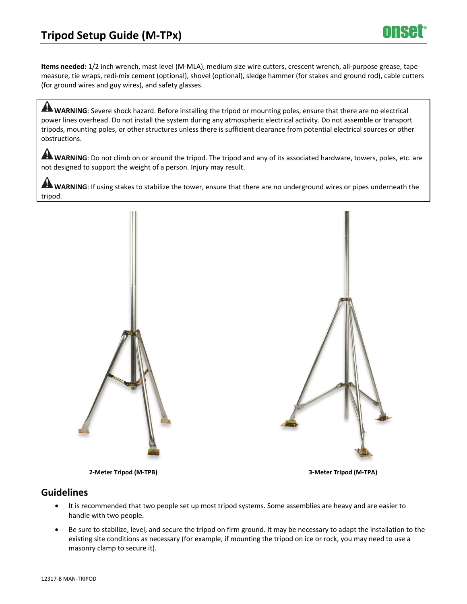**Items needed:** 1/2 inch wrench, mast level (M-MLA), medium size wire cutters, crescent wrench, all-purpose grease, tape measure, tie wraps, redi-mix cement (optional), shovel (optional), sledge hammer (for stakes and ground rod), cable cutters (for ground wires and guy wires), and safety glasses.

**A WARNING**: Severe shock hazard. Before installing the tripod or mounting poles, ensure that there are no electrical power lines overhead. Do not install the system during any atmospheric electrical activity. Do not assemble or transport tripods, mounting poles, or other structures unless there is sufficient clearance from potential electrical sources or other obstructions.

WARNING: Do not climb on or around the tripod. The tripod and any of its associated hardware, towers, poles, etc. are not designed to support the weight of a person. Injury may result.

**A** WARNING: If using stakes to stabilize the tower, ensure that there are no underground wires or pipes underneath the tripod.



**2-Meter Tripod (M-TPB) 3-Meter Tripod (M-TPA)** 

## **Guidelines**

- It is recommended that two people set up most tripod systems. Some assemblies are heavy and are easier to handle with two people.
- Be sure to stabilize, level, and secure the tripod on firm ground. It may be necessary to adapt the installation to the existing site conditions as necessary (for example, if mounting the tripod on ice or rock, you may need to use a masonry clamp to secure it).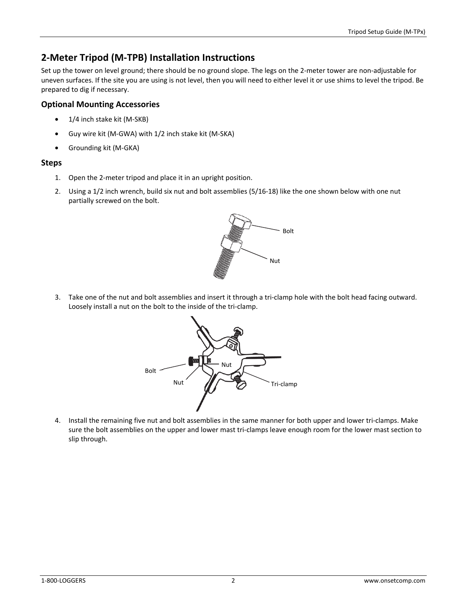# **2-Meter Tripod (M-TPB) Installation Instructions**

Set up the tower on level ground; there should be no ground slope. The legs on the 2-meter tower are non-adjustable for uneven surfaces. If the site you are using is not level, then you will need to either level it or use shims to level the tripod. Be prepared to dig if necessary.

## **Optional Mounting Accessories**

- 1/4 inch stake kit (M-SKB)
- Guy wire kit (M-GWA) with 1/2 inch stake kit (M-SKA)
- Grounding kit (M-GKA)

### **Steps**

- 1. Open the 2-meter tripod and place it in an upright position.
- 2. Using a 1/2 inch wrench, build six nut and bolt assemblies (5/16-18) like the one shown below with one nut partially screwed on the bolt.



3. Take one of the nut and bolt assemblies and insert it through a tri-clamp hole with the bolt head facing outward. Loosely install a nut on the bolt to the inside of the tri-clamp.



4. Install the remaining five nut and bolt assemblies in the same manner for both upper and lower tri-clamps. Make sure the bolt assemblies on the upper and lower mast tri-clamps leave enough room for the lower mast section to slip through.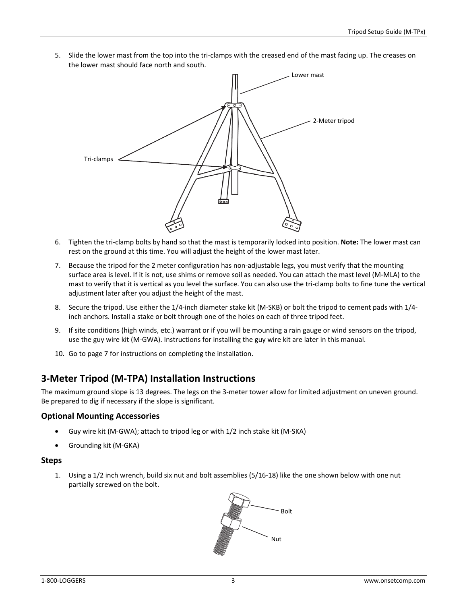5. Slide the lower mast from the top into the tri-clamps with the creased end of the mast facing up. The creases on the lower mast should face north and south.



- 6. Tighten the tri-clamp bolts by hand so that the mast is temporarily locked into position. **Note:** The lower mast can rest on the ground at this time. You will adjust the height of the lower mast later.
- 7. Because the tripod for the 2 meter configuration has non-adjustable legs, you must verify that the mounting surface area is level. If it is not, use shims or remove soil as needed. You can attach the mast level (M-MLA) to the mast to verify that it is vertical as you level the surface. You can also use the tri-clamp bolts to fine tune the vertical adjustment later after you adjust the height of the mast.
- 8. Secure the tripod. Use either the 1/4-inch diameter stake kit (M-SKB) or bolt the tripod to cement pads with 1/4 inch anchors. Install a stake or bolt through one of the holes on each of three tripod feet.
- 9. If site conditions (high winds, etc.) warrant or if you will be mounting a rain gauge or wind sensors on the tripod, use the guy wire kit (M-GWA). Instructions for installing the guy wire kit are later in this manual.
- 10. Go to page 7 for instructions on completing the installation.

## **3-Meter Tripod (M-TPA) Installation Instructions**

The maximum ground slope is 13 degrees. The legs on the 3-meter tower allow for limited adjustment on uneven ground. Be prepared to dig if necessary if the slope is significant.

### **Optional Mounting Accessories**

- Guy wire kit (M-GWA); attach to tripod leg or with 1/2 inch stake kit (M-SKA)
- Grounding kit (M-GKA)

### **Steps**

1. Using a 1/2 inch wrench, build six nut and bolt assemblies (5/16-18) like the one shown below with one nut partially screwed on the bolt.

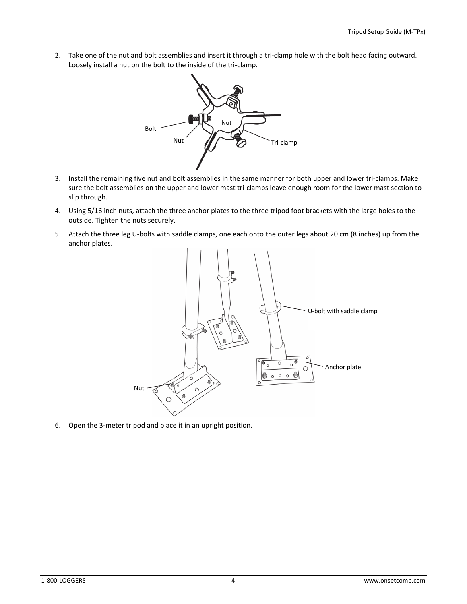2. Take one of the nut and bolt assemblies and insert it through a tri-clamp hole with the bolt head facing outward. Loosely install a nut on the bolt to the inside of the tri-clamp.



- 3. Install the remaining five nut and bolt assemblies in the same manner for both upper and lower tri-clamps. Make sure the bolt assemblies on the upper and lower mast tri-clamps leave enough room for the lower mast section to slip through.
- 4. Using 5/16 inch nuts, attach the three anchor plates to the three tripod foot brackets with the large holes to the outside. Tighten the nuts securely.
- 5. Attach the three leg U-bolts with saddle clamps, one each onto the outer legs about 20 cm (8 inches) up from the anchor plates.



6. Open the 3-meter tripod and place it in an upright position.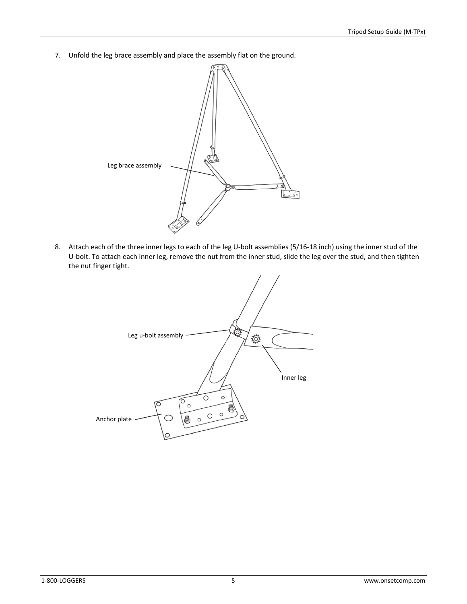7. Unfold the leg brace assembly and place the assembly flat on the ground.



8. Attach each of the three inner legs to each of the leg U-bolt assemblies (5/16-18 inch) using the inner stud of the U-bolt. To attach each inner leg, remove the nut from the inner stud, slide the leg over the stud, and then tighten the nut finger tight.

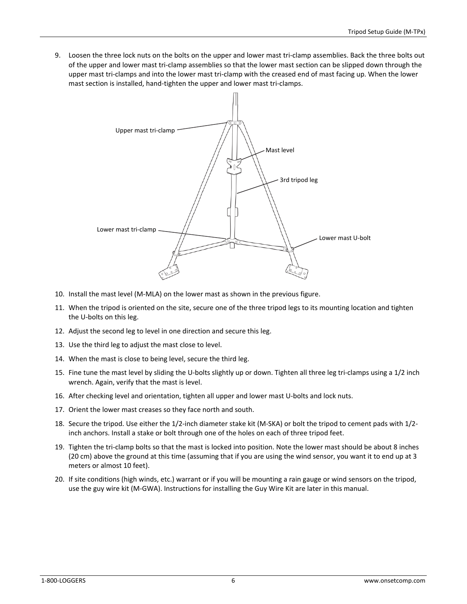9. Loosen the three lock nuts on the bolts on the upper and lower mast tri-clamp assemblies. Back the three bolts out of the upper and lower mast tri-clamp assemblies so that the lower mast section can be slipped down through the upper mast tri-clamps and into the lower mast tri-clamp with the creased end of mast facing up. When the lower mast section is installed, hand-tighten the upper and lower mast tri-clamps.



- 10. Install the mast level (M-MLA) on the lower mast as shown in the previous figure.
- 11. When the tripod is oriented on the site, secure one of the three tripod legs to its mounting location and tighten the U-bolts on this leg.
- 12. Adjust the second leg to level in one direction and secure this leg.
- 13. Use the third leg to adjust the mast close to level.
- 14. When the mast is close to being level, secure the third leg.
- 15. Fine tune the mast level by sliding the U-bolts slightly up or down. Tighten all three leg tri-clamps using a 1/2 inch wrench. Again, verify that the mast is level.
- 16. After checking level and orientation, tighten all upper and lower mast U-bolts and lock nuts.
- 17. Orient the lower mast creases so they face north and south.
- 18. Secure the tripod. Use either the 1/2-inch diameter stake kit (M-SKA) or bolt the tripod to cement pads with 1/2 inch anchors. Install a stake or bolt through one of the holes on each of three tripod feet.
- 19. Tighten the tri-clamp bolts so that the mast is locked into position. Note the lower mast should be about 8 inches (20 cm) above the ground at this time (assuming that if you are using the wind sensor, you want it to end up at 3 meters or almost 10 feet).
- 20. If site conditions (high winds, etc.) warrant or if you will be mounting a rain gauge or wind sensors on the tripod, use the guy wire kit (M-GWA). Instructions for installing the Guy Wire Kit are later in this manual.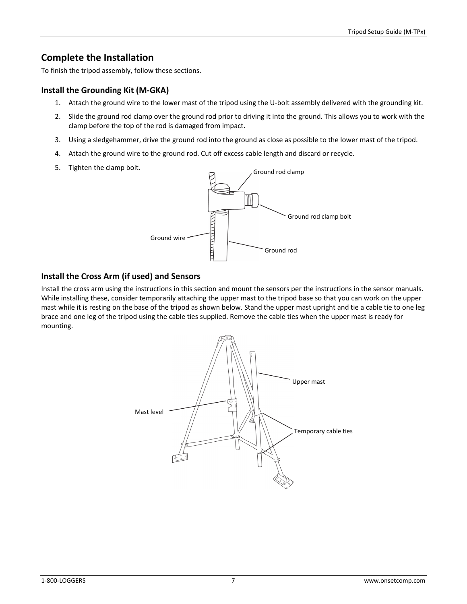## **Complete the Installation**

To finish the tripod assembly, follow these sections.

## **Install the Grounding Kit (M-GKA)**

- 1. Attach the ground wire to the lower mast of the tripod using the U-bolt assembly delivered with the grounding kit.
- 2. Slide the ground rod clamp over the ground rod prior to driving it into the ground. This allows you to work with the clamp before the top of the rod is damaged from impact.
- 3. Using a sledgehammer, drive the ground rod into the ground as close as possible to the lower mast of the tripod.
- 4. Attach the ground wire to the ground rod. Cut off excess cable length and discard or recycle.
- 5. Tighten the clamp bolt.



## **Install the Cross Arm (if used) and Sensors**

Install the cross arm using the instructions in this section and mount the sensors per the instructions in the sensor manuals. While installing these, consider temporarily attaching the upper mast to the tripod base so that you can work on the upper mast while it is resting on the base of the tripod as shown below. Stand the upper mast upright and tie a cable tie to one leg brace and one leg of the tripod using the cable ties supplied. Remove the cable ties when the upper mast is ready for mounting.

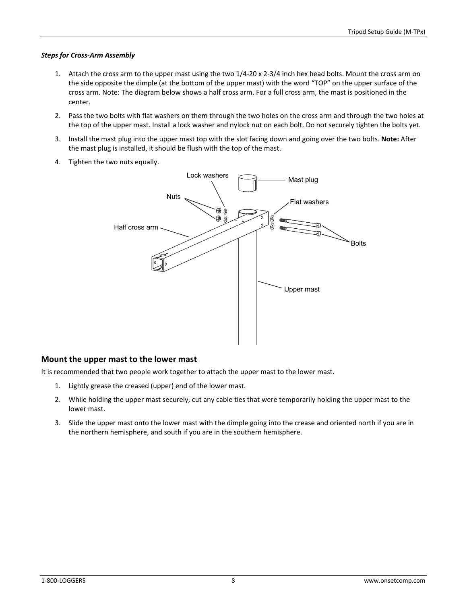#### *Steps for Cross-Arm Assembly*

- 1. Attach the cross arm to the upper mast using the two 1/4-20 x 2-3/4 inch hex head bolts. Mount the cross arm on the side opposite the dimple (at the bottom of the upper mast) with the word "TOP" on the upper surface of the cross arm. Note: The diagram below shows a half cross arm. For a full cross arm, the mast is positioned in the center.
- 2. Pass the two bolts with flat washers on them through the two holes on the cross arm and through the two holes at the top of the upper mast. Install a lock washer and nylock nut on each bolt. Do not securely tighten the bolts yet.
- 3. Install the mast plug into the upper mast top with the slot facing down and going over the two bolts. **Note:** After the mast plug is installed, it should be flush with the top of the mast.
- 4. Tighten the two nuts equally.



### **Mount the upper mast to the lower mast**

It is recommended that two people work together to attach the upper mast to the lower mast.

- 1. Lightly grease the creased (upper) end of the lower mast.
- 2. While holding the upper mast securely, cut any cable ties that were temporarily holding the upper mast to the lower mast.
- 3. Slide the upper mast onto the lower mast with the dimple going into the crease and oriented north if you are in the northern hemisphere, and south if you are in the southern hemisphere.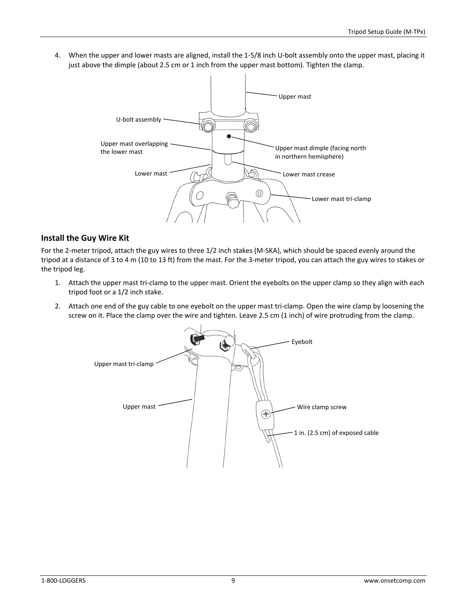4. When the upper and lower masts are aligned, install the 1-5/8 inch U-bolt assembly onto the upper mast, placing it just above the dimple (about 2.5 cm or 1 inch from the upper mast bottom). Tighten the clamp.



### **Install the Guy Wire Kit**

For the 2-meter tripod, attach the guy wires to three 1/2 inch stakes (M-SKA), which should be spaced evenly around the tripod at a distance of 3 to 4 m (10 to 13 ft) from the mast. For the 3-meter tripod, you can attach the guy wires to stakes or the tripod leg.

- 1. Attach the upper mast tri-clamp to the upper mast. Orient the eyebolts on the upper clamp so they align with each tripod foot or a 1/2 inch stake.
- 2. Attach one end of the guy cable to one eyebolt on the upper mast tri-clamp. Open the wire clamp by loosening the screw on it. Place the clamp over the wire and tighten. Leave 2.5 cm (1 inch) of wire protruding from the clamp.